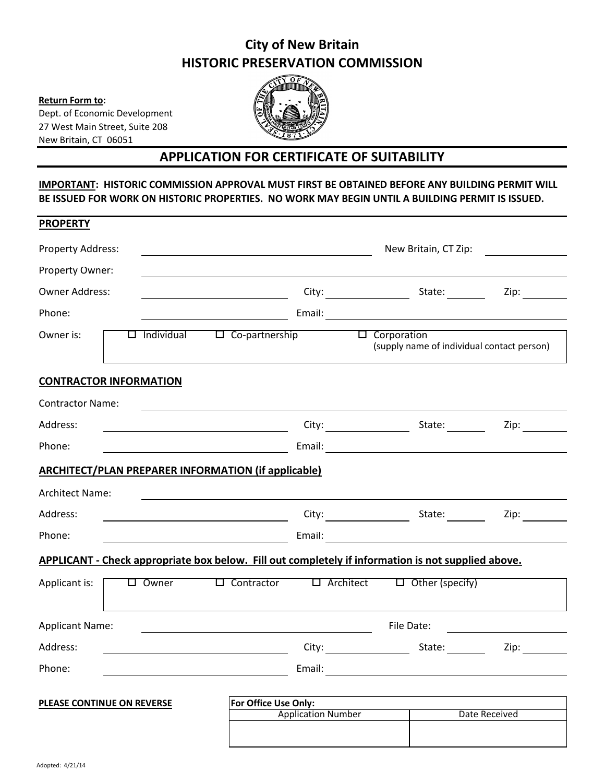## **City of New Britain HISTORIC PRESERVATION COMMISSION**

**Return Form to:**  Dept. of Economic Development 27 West Main Street, Suite 208 New Britain, CT 06051



## **APPLICATION FOR CERTIFICATE OF SUITABILITY**

## **IMPORTANT: HISTORIC COMMISSION APPROVAL MUST FIRST BE OBTAINED BEFORE ANY BUILDING PERMIT WILL BE ISSUED FOR WORK ON HISTORIC PROPERTIES. NO WORK MAY BEGIN UNTIL A BUILDING PERMIT IS ISSUED.**

| <b>PROPERTY</b>                   |                 |  |                                                            |                           |                    |                                                                                                                        |               |  |  |
|-----------------------------------|-----------------|--|------------------------------------------------------------|---------------------------|--------------------|------------------------------------------------------------------------------------------------------------------------|---------------|--|--|
| <b>Property Address:</b>          |                 |  |                                                            | New Britain, CT Zip:      |                    |                                                                                                                        |               |  |  |
| Property Owner:                   |                 |  |                                                            |                           |                    |                                                                                                                        |               |  |  |
| <b>Owner Address:</b>             |                 |  |                                                            |                           |                    | City: State:                                                                                                           | Zip:          |  |  |
| Phone:                            |                 |  |                                                            |                           |                    |                                                                                                                        |               |  |  |
| Owner is:                         |                 |  | $\Box$ Individual $\Box$ Co-partnership                    |                           | $\Box$ Corporation | (supply name of individual contact person)                                                                             |               |  |  |
| <b>CONTRACTOR INFORMATION</b>     |                 |  |                                                            |                           |                    |                                                                                                                        |               |  |  |
| <b>Contractor Name:</b>           |                 |  |                                                            |                           |                    |                                                                                                                        |               |  |  |
| Address:                          |                 |  |                                                            |                           |                    | City: State: State:                                                                                                    | Zip:          |  |  |
| Phone:                            |                 |  |                                                            |                           |                    |                                                                                                                        |               |  |  |
|                                   |                 |  | <b>ARCHITECT/PLAN PREPARER INFORMATION (if applicable)</b> |                           |                    |                                                                                                                        |               |  |  |
| <b>Architect Name:</b>            |                 |  |                                                            |                           |                    |                                                                                                                        |               |  |  |
| Address:                          |                 |  |                                                            |                           |                    |                                                                                                                        | Zip:          |  |  |
| Phone:                            |                 |  |                                                            |                           |                    |                                                                                                                        |               |  |  |
|                                   |                 |  |                                                            |                           |                    | APPLICANT - Check appropriate box below. Fill out completely if information is not supplied above.                     |               |  |  |
| Applicant is:                     | $\square$ Owner |  | $\Box$ Contractor                                          |                           | $\Box$ Architect   | $\Box$ Other (specify)                                                                                                 |               |  |  |
| <b>Applicant Name:</b>            |                 |  |                                                            | File Date:                |                    |                                                                                                                        |               |  |  |
| Address:                          |                 |  | <u> 1990 - Johann John Stein, markin f</u>                 |                           | City:              | State: $\frac{1}{\sqrt{1-\frac{1}{2}}\sqrt{1-\frac{1}{2}}\sqrt{1-\frac{1}{2}}\sqrt{1-\frac{1}{2}}\sqrt{1-\frac{1}{2}}$ | Zip:          |  |  |
| Phone:                            |                 |  |                                                            | Email:                    |                    |                                                                                                                        |               |  |  |
| <b>PLEASE CONTINUE ON REVERSE</b> |                 |  | For Office Use Only:                                       |                           |                    |                                                                                                                        |               |  |  |
|                                   |                 |  |                                                            | <b>Application Number</b> |                    |                                                                                                                        | Date Received |  |  |
|                                   |                 |  |                                                            |                           |                    |                                                                                                                        |               |  |  |